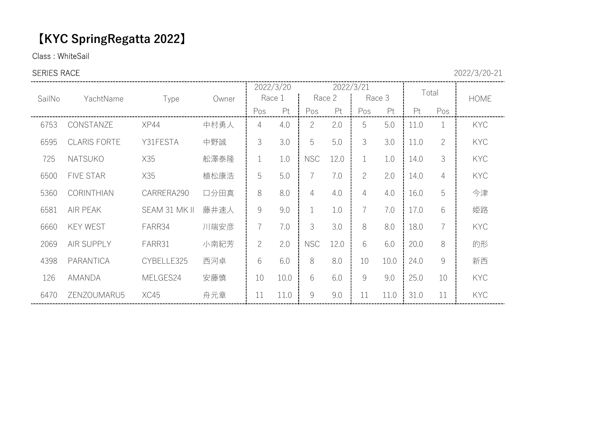# 【KYC SpringRegatta 2022】

Class : WhiteSail

# **SERIES RACE** 2022/3/20-21

|        |                     |               |       |                | 2022/3/20 |                                                           |        | 2022/3/21      |        | Total |                |             |  |
|--------|---------------------|---------------|-------|----------------|-----------|-----------------------------------------------------------|--------|----------------|--------|-------|----------------|-------------|--|
| SailNo | YachtName           | Type          | Owner |                | Race 1    |                                                           | Race 2 |                | Race 3 |       |                | <b>HOME</b> |  |
|        |                     |               |       | Pos            | Pt        | Pos                                                       | Pt     | Pos            | Pt     | Pt    | Pos            |             |  |
| 6753   | CONSTANZE           | <b>XP44</b>   | 中村勇人  | 4              | 4.0       | $\overline{2}$                                            | 2.0    | 5              | 5.0    | 11.0  |                | <b>KYC</b>  |  |
| 6595   | <b>CLARIS FORTE</b> | Y31FESTA      | 中野誠   | 3              | 3.0       | 5                                                         | 5.0    | 3              | 3.0    | 11.0  | $\overline{2}$ | <b>KYC</b>  |  |
| 725    | <b>NATSUKO</b>      | X35           | 舩澤泰隆  |                | 1.0       | <b>NSC</b>                                                | 12.0   | $\mathbf{1}$   | 1.0    | 14.0  | 3              | <b>KYC</b>  |  |
| 6500   | <b>FIVE STAR</b>    | X35           | 植松康浩  | 5              | 5.0       | $\overline{7}$                                            | 7.0    | $\overline{2}$ | 2.0    | 14.0  | 4              | <b>KYC</b>  |  |
| 5360   | <b>CORINTHIAN</b>   | CARRERA290    | 口分田真  | 8              | 8.0       | 4                                                         | 4.0    | 4              | 4.0    | 16.0  | 5              | 今津          |  |
| 6581   | <b>AIR PEAK</b>     | SEAM 31 MK II | 藤井速人  | 9              | 9.0       | 1                                                         | 1.0    | $\overline{7}$ | 7.0    | 17.0  | 6              | 姫路          |  |
| 6660   | <b>KEY WEST</b>     | FARR34        | 川端安彦  | 7              | 7.0       | 3                                                         | 3.0    | 8              | 8.0    | 18.0  | $\overline{7}$ | <b>KYC</b>  |  |
| 2069   | AIR SUPPLY          | FARR31        | 小南紀芳  | $\overline{2}$ | 2.0       | <b>NSC</b>                                                | 12.0   | 6              | 6.0    | 20.0  | 8              | 的形          |  |
| 4398   | PARANTICA           | CYBELLE325    | 西河卓   | 6              | 6.0       | 8                                                         | 8.0    | 10             | 10.0   | 24.0  | 9              | 新西          |  |
| 126    | AMANDA              | MELGES24      | 安藤慎   | 10             | 10.0      | 6                                                         | 6.0    | $\mathcal{G}$  | 9.0    | 25.0  | 10             | <b>KYC</b>  |  |
| 6470   | ZENZOUMARU5         | XC45          | 舟元章   | 11             | 11.0      | $\mathcal{G}% _{M_{1},M_{2}}^{\alpha,\beta}(\mathcal{G})$ | 9.0    | 11             | 11.0   | 31.0  | 11             | <b>KYC</b>  |  |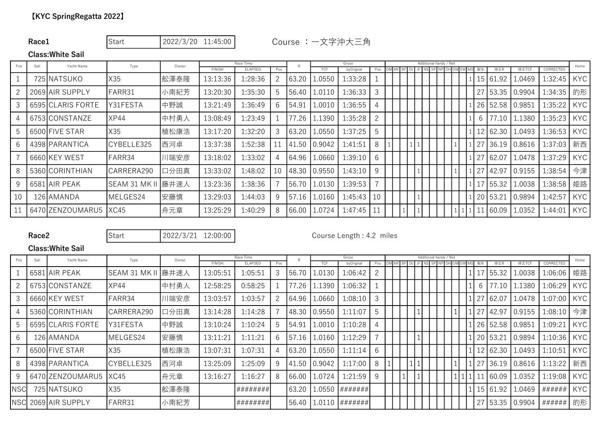# Race1 Start | 2022/3/20 11:45:00 Course : 一文字沖大三角

### Class:White Sail

| Sail<br>Pos |  | Yacht Name        | Type                 | Owner |               | Race Time      |     |       |            | Gross     |              |  |  | Additional handy / Net |  |    |                |        |               | Home       |  |
|-------------|--|-------------------|----------------------|-------|---------------|----------------|-----|-------|------------|-----------|--------------|--|--|------------------------|--|----|----------------|--------|---------------|------------|--|
|             |  |                   |                      |       | <b>FINISH</b> | <b>ELAPSED</b> | Pos |       | <b>TCF</b> | byOrignal | Pos          |  |  |                        |  |    | 修正R            | 修正TCF  | CORRECTED     |            |  |
|             |  | 725 NATSUKO       | X35                  | 舩澤泰隆  | 13:13:36      | 1:28:36        |     | 63.20 | .0550      | 1:33:28   |              |  |  |                        |  |    | 15 61.92       | .0469  | 1:32:45       | <b>KYC</b> |  |
|             |  | 2069 AIR SUPPLY   | FARR31               | 小南紀芳  | 13:20:30      | 1:35:30        | 5   | 56.40 | 1.0110     | 1:36:33   | 3            |  |  |                        |  | 27 | 153.35         | 0.9904 | 1:34:35       | 的形         |  |
| 3           |  | 6595 CLARIS FORTE | Y31FESTA             | 中野誠   | 13:21:49      | 1:36:49        | 6   | 54.91 | L.0010     | l:36:55   | 4            |  |  |                        |  |    | 26 52.58       | 0.9851 | 1:35:22       | <b>KYC</b> |  |
|             |  | 6753ICONSTANZE    | XP44                 | 中村勇人  | 13:08:49      | 1:23:49        |     | 77.26 | 1.1390     | 1:35:28   | $\mathbf{2}$ |  |  |                        |  | 6  | 77.10          | .1380  | $1:35:23$ KYC |            |  |
|             |  | 6500 FIVE STAR    | X35                  | 植松康浩  | 13:17:20      | 1:32:20        | 3   | 63.20 | 1.0550     | 1:37:25   | 5            |  |  |                        |  |    | 12 62.30       | .0493  | $1:36:53$ KYC |            |  |
| 6           |  | 4398 PARANTICA    | CYBELLE325           | 西河卓   | 13:37:38      | 1:52:38        |     | 41.50 | 0.9042     | 1:41:51   | 8            |  |  |                        |  | 27 | 136.19         | 0.8616 | 1:37:03   新西  |            |  |
|             |  | 6660 KEY WEST     | FARR34               | 川端安彦  | 13:18:02      | 1:33:02        | 4   | 64.96 | L.0660     | 1:39:10   | 6            |  |  |                        |  | 27 | 162.07         | L.0478 | 1:37:29       | KYC.       |  |
| 8           |  | 5360 CORINTHIAN   | CARRERA290           | 口分田真  | 13:33:02      | 1:48:02        | 10  | 48.30 | 0.9550     | 1:43:10   | 9            |  |  |                        |  | 27 | 142.97         | 0.9155 | 1:38:54       | 今津         |  |
| -9          |  | 6581 AIR PEAK     | <b>SEAM 31 MK II</b> | 藤井速人  | 13:23:36      | 1:38:36        |     | 56.70 | 1.0130     | 1:39:53   |              |  |  |                        |  |    | $\sqrt{55.32}$ | .0038  | 1:38:58       | 姫路         |  |
| 10          |  | 126 AMANDA        | MELGES24             | 安藤慎   | 13:29:03      | 1:44:03        | 9   | 57.16 | 1.0160     | 1:45:43   | -10          |  |  |                        |  |    | 20 53.21       | 0.9894 | 1:42:57       | <b>KYC</b> |  |
|             |  | 6470 ZENZOUMARU5  | IXC45                | 舟元章   | 13:25:29      | 1:40:29        | 8   | 66.00 | 1.0724     | 1:47:45   | 11           |  |  |                        |  |    | 60.09          | .0352  | 1:44:01       | <b>KYC</b> |  |

## **Race2** Start 2022/3/21 12:00:00 Course Length : 4.2 miles

### Class:White Sail

| Sail<br>Pos |  | Yacht Name        | Type                | Owner |               | Race Time      |     | R     |        | Gross     |                |  |  |  |  |  | Additional handy / Net |  |  |                 |            |        |           | Home       |
|-------------|--|-------------------|---------------------|-------|---------------|----------------|-----|-------|--------|-----------|----------------|--|--|--|--|--|------------------------|--|--|-----------------|------------|--------|-----------|------------|
|             |  |                   |                     |       | <b>FINISH</b> | <b>ELAPSED</b> | Pos |       | TCF    | byOrignal | Pos            |  |  |  |  |  | DJ JF NS SP NP DHOW    |  |  |                 |            | 修正TCF  | CORRECTED |            |
|             |  | 6581 AIR PEAK     | SEAM 31 MK II  藤井速人 |       | 13:05:51      | 1:05:51        | 3   | 56.70 | l.0130 | 1:06:42   | 2              |  |  |  |  |  |                        |  |  |                 | 55.32      | 0038   | 1:06:06   | 姫路         |
|             |  | 6753ICONSTANZE    | XP44                | 中村勇人  | 12:58:25      | 0:58:25        |     | 77.26 | .1390  | 1:06:32   |                |  |  |  |  |  |                        |  |  | 6               | 77.10      | 1.1380 | 1:06:29   | KYC        |
|             |  | 6660 KEY WEST     | FARR34              | 川端安彦  | 13:03:57      | 1:03:57        |     | 64.96 | .0660  | 1:08:10   | 3              |  |  |  |  |  |                        |  |  | 27              | 62.07      | 1.0478 | 1:07:00   | KYC        |
|             |  | 5360 CORINTHIAN   | ICARRERA290         | 口分田真  | 13:14:28      | 1:14:28        |     | 48.30 | 0.9550 | 1:11:07   | 5              |  |  |  |  |  |                        |  |  | 27              | 42.97      | 0.9155 | 1:08:10   | 今津         |
|             |  | 6595 CLARIS FORTE | Y31FESTA            | 中野誠   | 13:10:24      | 1:10:24        | 5   | 54.91 | .0010  | 1:10:28   | 4              |  |  |  |  |  |                        |  |  |                 | 26 52.58   | 0.9851 | 1:09:21   | <b>KYC</b> |
|             |  | 126 AMANDA        | MELGES24            | 安藤慎   | 13:11:21      | 1:11:21        | 6   | 57.16 | L.0160 | 1:12:29   | $\overline{7}$ |  |  |  |  |  |                        |  |  | 20 <sub>1</sub> | 53.21      | 0.9894 | 1:10:36   | <b>KYC</b> |
|             |  | 6500 FIVE STAR    | X35                 | 植松康浩  | 13:07:31      | 1:07:31        |     | 63.20 | .0550  | 1:11:14   | 6              |  |  |  |  |  |                        |  |  |                 | $12$ 62.30 | 1.0493 | 1:10:51   | KYC        |
|             |  | 4398 PARANTICA    | ICYBELLE325         | 西河卓   | 13:25:09      | 1:25:09        | 9   | 41.50 | 0.9042 | 1:17:00   | 8              |  |  |  |  |  |                        |  |  | 27              | 36.19      | 0.8616 | 1:13:22   | 新西         |
| -9          |  | 6470 ZENZOUMARU5  | XC45                | 舟元章   | 13:16:27      | 1:16:27        | 8   | 66.00 | L.0724 | 1:21:59   | 9              |  |  |  |  |  |                        |  |  |                 | 60.09      | 1.0352 | 1:19:08   | <b>KYC</b> |
| NSC         |  | 725 INATSUKO      | X35                 | 舩澤泰隆  |               | ########       |     | 63.20 | .0550  | #######   |                |  |  |  |  |  |                        |  |  |                 | 15 61.92   | .0469  | ######    | KYC        |
| NSCI        |  | 2069 AIR SUPPLY   | FARR31              | 小南紀芳  |               | ########       |     | 56.40 | .0110  | #######   |                |  |  |  |  |  |                        |  |  | 27              | 53.35      | 0.9904 | ######    | 的形         |
|             |  |                   |                     |       |               |                |     |       |        |           |                |  |  |  |  |  |                        |  |  |                 |            |        |           |            |